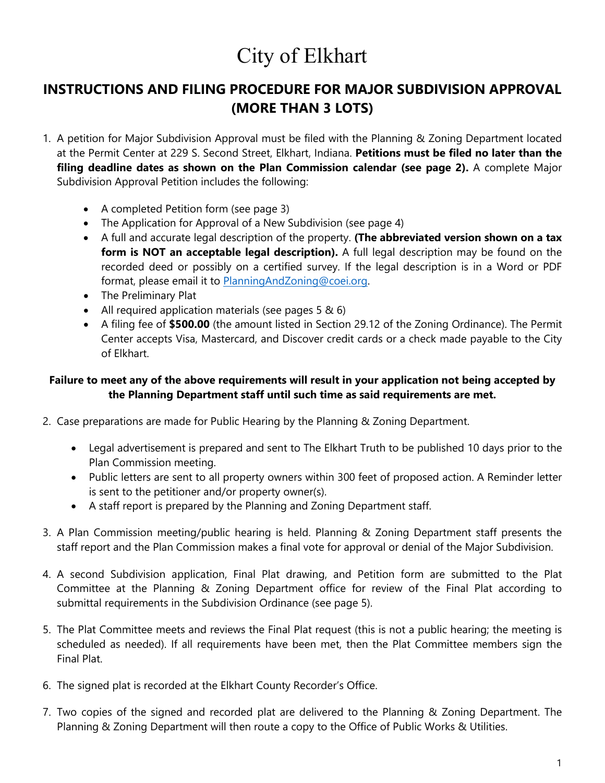# City of Elkhart

## **INSTRUCTIONS AND FILING PROCEDURE FOR MAJOR SUBDIVISION APPROVAL (MORE THAN 3 LOTS)**

- 1. A petition for Major Subdivision Approval must be filed with the Planning & Zoning Department located at the Permit Center at 229 S. Second Street, Elkhart, Indiana. **Petitions must be filed no later than the filing deadline dates as shown on the Plan Commission calendar (see page 2).** A complete Major Subdivision Approval Petition includes the following:
	- A completed Petition form (see page 3)
	- The Application for Approval of a New Subdivision (see page 4)
	- A full and accurate legal description of the property. **(The abbreviated version shown on a tax form is NOT an acceptable legal description).** A full legal description may be found on the recorded deed or possibly on a certified survey. If the legal description is in a Word or PDF format, please email it to [PlanningAndZoning@coei.org.](mailto:PlanningAndZoning@coei.org)
	- The Preliminary Plat
	- All required application materials (see pages 5 & 6)
	- A filing fee of **\$500.00** (the amount listed in Section 29.12 of the Zoning Ordinance). The Permit Center accepts Visa, Mastercard, and Discover credit cards or a check made payable to the City of Elkhart.

### **Failure to meet any of the above requirements will result in your application not being accepted by the Planning Department staff until such time as said requirements are met.**

- 2. Case preparations are made for Public Hearing by the Planning & Zoning Department.
	- Legal advertisement is prepared and sent to The Elkhart Truth to be published 10 days prior to the Plan Commission meeting.
	- Public letters are sent to all property owners within 300 feet of proposed action. A Reminder letter is sent to the petitioner and/or property owner(s).
	- A staff report is prepared by the Planning and Zoning Department staff.
- 3. A Plan Commission meeting/public hearing is held. Planning & Zoning Department staff presents the staff report and the Plan Commission makes a final vote for approval or denial of the Major Subdivision.
- 4. A second Subdivision application, Final Plat drawing, and Petition form are submitted to the Plat Committee at the Planning & Zoning Department office for review of the Final Plat according to submittal requirements in the Subdivision Ordinance (see page 5).
- 5. The Plat Committee meets and reviews the Final Plat request (this is not a public hearing; the meeting is scheduled as needed). If all requirements have been met, then the Plat Committee members sign the Final Plat.
- 6. The signed plat is recorded at the Elkhart County Recorder's Office.
- 7. Two copies of the signed and recorded plat are delivered to the Planning & Zoning Department. The Planning & Zoning Department will then route a copy to the Office of Public Works & Utilities.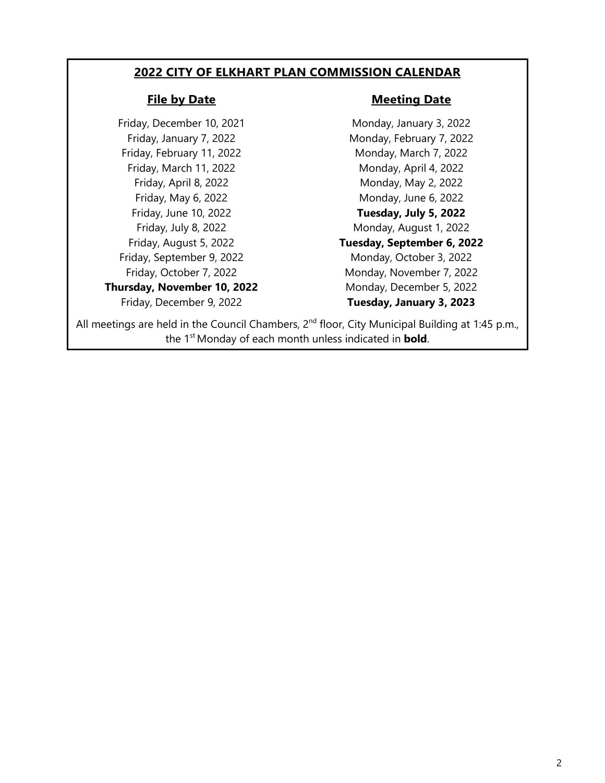### **2022 CITY OF ELKHART PLAN COMMISSION CALENDAR**

Friday, December 10, 2021 Monday, January 3, 2022 Friday, February 11, 2022 Monday, March 7, 2022 Friday, March 11, 2022 Monday, April 4, 2022 Friday, September 9, 2022 Monday, October 3, 2022

**Thursday, November 10, 2022** Monday, December 5, 2022

#### **File by Date Meeting Date**

Friday, January 7, 2022 Monday, February 7, 2022 Friday, April 8, 2022 Monday, May 2, 2022 Friday, May 6, 2022 **Monday**, June 6, 2022 Friday, June 10, 2022 **Tuesday, July 5, 2022** Friday, July 8, 2022 **Monday, August 1, 2022** Friday, August 5, 2022 **Tuesday, September 6, 2022** Friday, October 7, 2022 Monday, November 7, 2022 Friday, December 9, 2022 **Tuesday, January 3, 2023**

All meetings are held in the Council Chambers, 2<sup>nd</sup> floor, City Municipal Building at 1:45 p.m., the 1st Monday of each month unless indicated in **bold**.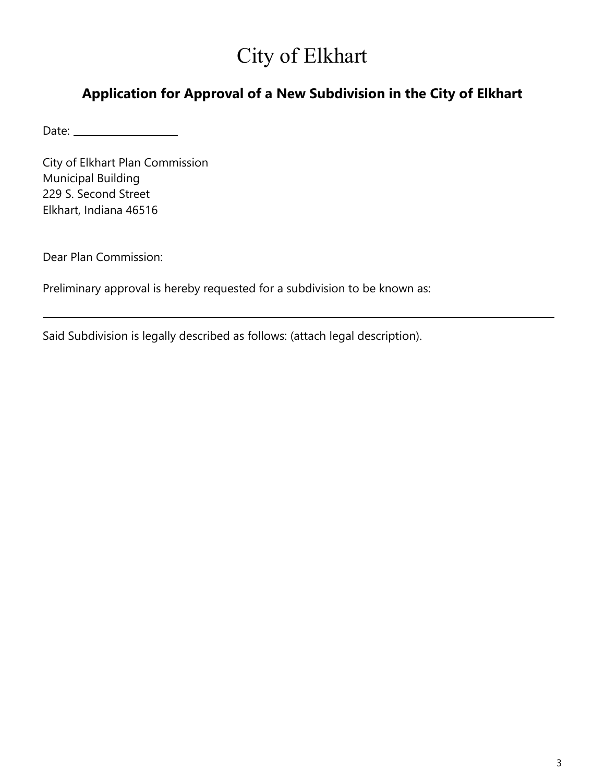# City of Elkhart

## **Application for Approval of a New Subdivision in the City of Elkhart**

Date:

City of Elkhart Plan Commission Municipal Building 229 S. Second Street Elkhart, Indiana 46516

Dear Plan Commission:

Preliminary approval is hereby requested for a subdivision to be known as:

Said Subdivision is legally described as follows: (attach legal description).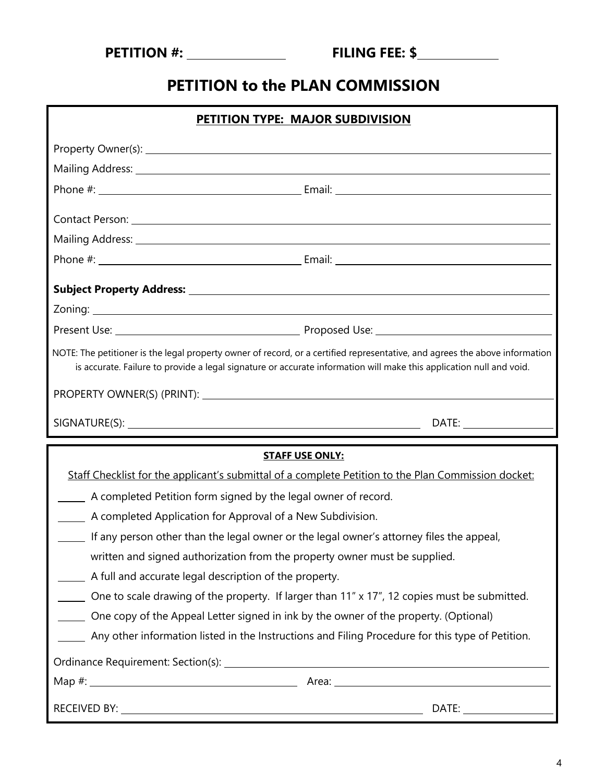| <b>PETITION #:</b> |
|--------------------|
|--------------------|

# **PETITION to the PLAN COMMISSION**

| PETITION TYPE: MAJOR SUBDIVISION                                                                                                                                                                                                                   |                                                                                                     |
|----------------------------------------------------------------------------------------------------------------------------------------------------------------------------------------------------------------------------------------------------|-----------------------------------------------------------------------------------------------------|
|                                                                                                                                                                                                                                                    |                                                                                                     |
|                                                                                                                                                                                                                                                    |                                                                                                     |
|                                                                                                                                                                                                                                                    |                                                                                                     |
|                                                                                                                                                                                                                                                    | Contact Person: New York Contact Person: New York Contact Person: New York Contact Person:          |
|                                                                                                                                                                                                                                                    |                                                                                                     |
|                                                                                                                                                                                                                                                    |                                                                                                     |
|                                                                                                                                                                                                                                                    |                                                                                                     |
|                                                                                                                                                                                                                                                    |                                                                                                     |
|                                                                                                                                                                                                                                                    |                                                                                                     |
| NOTE: The petitioner is the legal property owner of record, or a certified representative, and agrees the above information<br>is accurate. Failure to provide a legal signature or accurate information will make this application null and void. |                                                                                                     |
|                                                                                                                                                                                                                                                    |                                                                                                     |
|                                                                                                                                                                                                                                                    |                                                                                                     |
|                                                                                                                                                                                                                                                    |                                                                                                     |
|                                                                                                                                                                                                                                                    | <b>STAFF USE ONLY:</b>                                                                              |
|                                                                                                                                                                                                                                                    | Staff Checklist for the applicant's submittal of a complete Petition to the Plan Commission docket: |
| A completed Petition form signed by the legal owner of record.                                                                                                                                                                                     |                                                                                                     |
| A completed Application for Approval of a New Subdivision.                                                                                                                                                                                         |                                                                                                     |
| If any person other than the legal owner or the legal owner's attorney files the appeal,                                                                                                                                                           |                                                                                                     |
| written and signed authorization from the property owner must be supplied.                                                                                                                                                                         |                                                                                                     |
| A full and accurate legal description of the property.                                                                                                                                                                                             |                                                                                                     |
|                                                                                                                                                                                                                                                    | One to scale drawing of the property. If larger than 11" x 17", 12 copies must be submitted.        |
| One copy of the Appeal Letter signed in ink by the owner of the property. (Optional)                                                                                                                                                               |                                                                                                     |
| Any other information listed in the Instructions and Filing Procedure for this type of Petition.                                                                                                                                                   |                                                                                                     |
|                                                                                                                                                                                                                                                    |                                                                                                     |
|                                                                                                                                                                                                                                                    |                                                                                                     |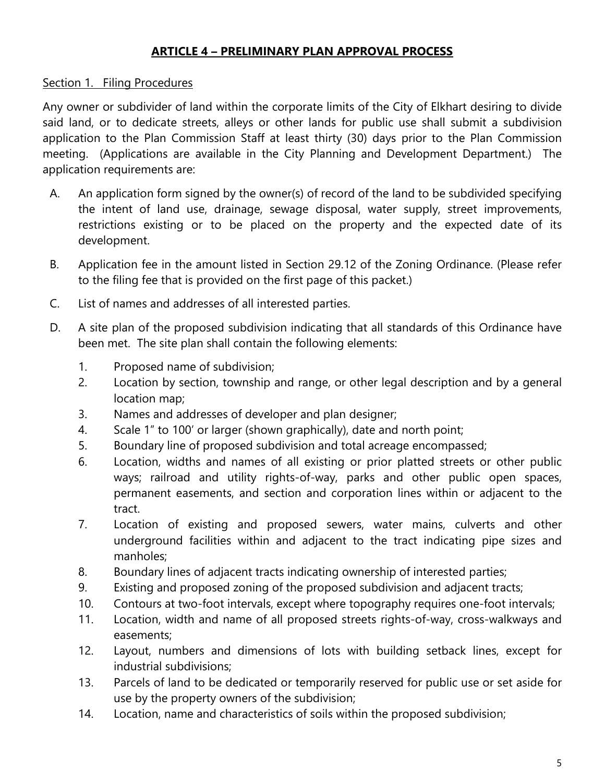### **ARTICLE 4 – PRELIMINARY PLAN APPROVAL PROCESS**

### Section 1. Filing Procedures

Any owner or subdivider of land within the corporate limits of the City of Elkhart desiring to divide said land, or to dedicate streets, alleys or other lands for public use shall submit a subdivision application to the Plan Commission Staff at least thirty (30) days prior to the Plan Commission meeting. (Applications are available in the City Planning and Development Department.) The application requirements are:

- A. An application form signed by the owner(s) of record of the land to be subdivided specifying the intent of land use, drainage, sewage disposal, water supply, street improvements, restrictions existing or to be placed on the property and the expected date of its development.
- B. Application fee in the amount listed in Section 29.12 of the Zoning Ordinance. (Please refer to the filing fee that is provided on the first page of this packet.)
- C. List of names and addresses of all interested parties.
- D. A site plan of the proposed subdivision indicating that all standards of this Ordinance have been met. The site plan shall contain the following elements:
	- 1. Proposed name of subdivision;
	- 2. Location by section, township and range, or other legal description and by a general location map;
	- 3. Names and addresses of developer and plan designer;
	- 4. Scale 1" to 100' or larger (shown graphically), date and north point;
	- 5. Boundary line of proposed subdivision and total acreage encompassed;
	- 6. Location, widths and names of all existing or prior platted streets or other public ways; railroad and utility rights-of-way, parks and other public open spaces, permanent easements, and section and corporation lines within or adjacent to the tract.
	- 7. Location of existing and proposed sewers, water mains, culverts and other underground facilities within and adjacent to the tract indicating pipe sizes and manholes;
	- 8. Boundary lines of adjacent tracts indicating ownership of interested parties;
	- 9. Existing and proposed zoning of the proposed subdivision and adjacent tracts;
	- 10. Contours at two-foot intervals, except where topography requires one-foot intervals;
	- 11. Location, width and name of all proposed streets rights-of-way, cross-walkways and easements;
	- 12. Layout, numbers and dimensions of lots with building setback lines, except for industrial subdivisions;
	- 13. Parcels of land to be dedicated or temporarily reserved for public use or set aside for use by the property owners of the subdivision;
	- 14. Location, name and characteristics of soils within the proposed subdivision;